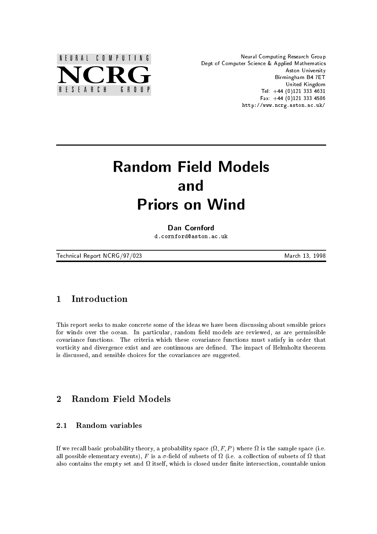

Neural Computing Research Group Dept of Computer Science & Applied Mathematics Aston University Birmingham B4 7ET United Kingdom Tel:  $+44$  (0)121 333 4631 Fax:  $+44$  (0)121 333 4586 http://www.ncrg.aston.ac.uk/

# Random Field Models and **Priors on Wind** Priors on Wind

## Dan Cornford

d.cornford@aston.ac.uk

Technical Report NCRG/97/023 and the state of the March 13, 1998

#### **Introduction**  $\mathbf{1}$

This report seeks to make concrete some of the ideas we have been discussing about sensible priors for winds over the ocean. In particular, random field models are reviewed, as are permissible covariance functions. The criteria which these covariance functions must satisfy in order that vorticity and divergence exist and are continuous are defined. The impact of Helmholtz theorem is discussed, and sensible choices for the covariances are suggested.

### $\overline{2}$ 2 Random Field Models

#### $2.1$ Random variables

If we recall basic probability theory, a probability space  $(\Omega, F, P)$  where  $\Omega$  is the sample space (i.e. all possible elementary events), F is a  $\sigma$ -field of subsets of  $\Omega$  (i.e. a collection of subsets of  $\Omega$  that also contains the empty set and it called under a theory which is could under the countable unions to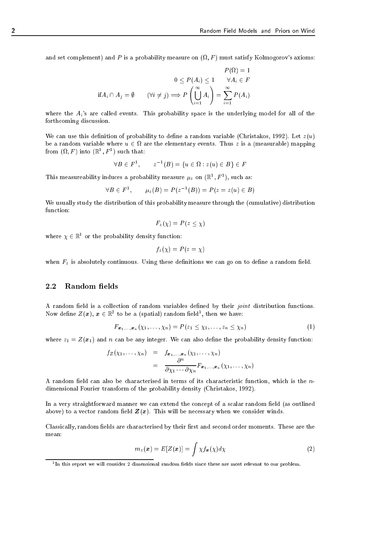and set complement) and P is a probability measure on  $(\Omega, F)$  must satisfy Kolmogorov's axioms:

$$
P(\Omega) = 1
$$
  

$$
0 \le P(A_i) \le 1 \qquad \forall A_i \in F
$$
  
if  $A_i \cap A_j = \emptyset$  
$$
(\forall i \ne j) \Longrightarrow P\left(\bigcup_{i=1}^{\infty} A_i\right) = \sum_{i=1}^{\infty} P(A_i)
$$

where the  $A_i$ 's are called events. This probability space is the underlying model for all of the forthcoming discussion.

We can use this definition of probability to define a random variable (Christakos, 1992). Let  $z(u)$ be a random variable where  $u \in \Omega$  are the elementary events. Thus  $z$  is a (measurable) mapping from  $(\Omega, F)$  into  $(\mathbb{R}^1, F^1)$  such that:

$$
\forall B \in F^1, \qquad z^{-1}(B) = \{u \in \Omega : z(u) \in B\} \in F
$$

This measureability induces a probability measure  $\mu_z$  on  $(\mathbb{R}^1, F^1)$ , such as:

$$
\forall B \in F^{1}, \qquad \mu_{z}(B) = P(z^{-1}(B)) = P(z = z(u) \in B)
$$

We usually study the distribution of this probability measure through the (cumulative) distribution function:

$$
F_z(\chi) = P(z \le \chi)
$$

where  $\chi \in \mathbb{R}^{\ast}$  or the probability density function:

$$
f_z(\chi) = P(z = \chi)
$$

when  $F<sub>z</sub>$  is absolutely continuous. Using these definitions we can go on to define a random field.

## 2.2 Random fields

A random field is a collection of random variables defined by their joint distribution functions. Now define  $Z(x)$ ,  $x \in \mathbb{R}^2$  to be a (spatial) random field<sup>1</sup>, then we have:

$$
F_{\boldsymbol{x}_1,\ldots,\boldsymbol{x}_n}(\chi_1,\ldots,\chi_n)=P(z_1\leq \chi_1,\ldots,z_n\leq \chi_n)
$$
\n(1)

where  $z_1 = Z(x_1)$  and n can be any integer. We can also define the probability density function:

$$
f_Z(\chi_1,\ldots,\chi_n) = f_{\boldsymbol{x}_1,\ldots,\boldsymbol{x}_n}(\chi_1,\ldots,\chi_n)
$$
  
= 
$$
\frac{\partial^n}{\partial \chi_1 \cdots \partial \chi_n} F_{\boldsymbol{x}_1,\ldots,\boldsymbol{x}_n}(\chi_1,\ldots,\chi_n)
$$

A random field can also be characterised in terms of its characteristic function, which is the  $n$ dimensional Fourier transform of the probability density (Christakos, 1992).

In a very straightforward manner we can extend the concept of a scalar random field (as outlined above) to a vector random field  $Z(x)$ . This will be necessary when we consider winds.

Classically, random fields are characterised by their first and second order moments. These are the mean:

$$
m_z(\boldsymbol{x}) = E[Z(\boldsymbol{x})] = \int \chi f_{\boldsymbol{x}}(\chi) d\chi \tag{2}
$$

<sup>1</sup> In this report we will consider 2 dimensional random elds since these are most relevant to our problem.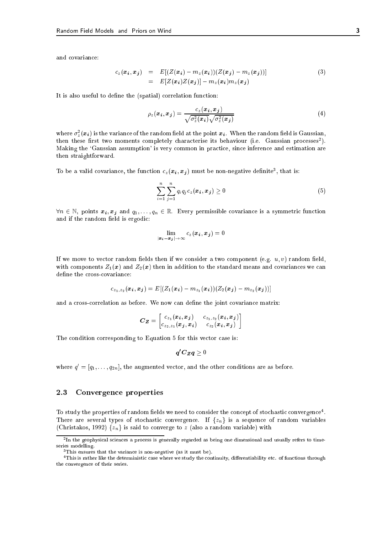and covariance:

$$
c_z(\boldsymbol{x}_i, \boldsymbol{x}_j) = E[(Z(\boldsymbol{x}_i) - m_z(\boldsymbol{x}_i))(Z(\boldsymbol{x}_j) - m_z(\boldsymbol{x}_j))]
$$
  
= 
$$
E[Z(\boldsymbol{x}_i)Z(\boldsymbol{x}_j)] - m_z(\boldsymbol{x}_i)m_z(\boldsymbol{x}_j)
$$
 (3)

It is also useful to define the (spatial) correlation function:

$$
\rho_z(\boldsymbol{x}_i, \boldsymbol{x}_j) = \frac{c_z(\boldsymbol{x}_i, \boldsymbol{x}_j)}{\sqrt{\sigma_z^2(\boldsymbol{x}_i)} \sqrt{\sigma_z^2(\boldsymbol{x}_j)}}
$$
(4)

where  $\sigma_z^-(\pmb{x_i})$  is the variance of the random field at the point  $\pmb{x_i}.$  When the random field is Gaussian, then these first two moments completely characterise its behaviour (i.e. Gaussian processes ). Making the 'Gaussian assumption' is very common in practice, since inference and estimation are then straightforward.

To be a valid covariance, the function  $c_z(x_i, x_j)$  must be non-negative definite , that is:

$$
\sum_{i=1}^{n} \sum_{j=1}^{n} q_i q_j c_z(\boldsymbol{x}_i, \boldsymbol{x}_j) \ge 0
$$
\n(5)

 $\forall n \in \mathbb{N}$ , points  $x_i, x_j$  and  $q_1, \ldots, q_n \in \mathbb{R}$ . Every permissible covariance is a symmetric function and if the random field is ergodic:

$$
\lim_{|\bm{x_i}-\bm{x_j}| \to \infty} c_z(\bm{x_i},\bm{x_j}) = 0
$$

If we move to vector random fields then if we consider a two component (e.g.  $u, v$ ) random field, with components  $Z_1(x)$  and  $Z_2(x)$  then in addition to the standard means and covariances we can define the cross-covariance:

$$
c_{z_1,z_2}(\bm{x_i},\bm{x_j})=E[(Z_1(\bm{x_i})-m_{z_1}(\bm{x_i}))(Z_2(\bm{x_j})-m_{z_2}(\bm{x_j}))]
$$

and a cross-correlation as before. We now can define the joint covariance matrix:

$$
\boldsymbol{C}_{\boldsymbol{Z}} = \begin{bmatrix} c_{z_1}(\boldsymbol{x_i}, \boldsymbol{x_j}) & c_{z_1, z_2}(\boldsymbol{x_i}, \boldsymbol{x_j}) \\ c_{z_2, z_1}(\boldsymbol{x_j}, \boldsymbol{x_i}) & c_{z_2}(\boldsymbol{x_i}, \boldsymbol{x_j}) \end{bmatrix}
$$

The condition corresponding to Equation 5 for this vector case is:

$$
\boldsymbol{q'}\boldsymbol{C}_{\boldsymbol{Z}}\boldsymbol{q}\geq 0
$$

where  $q^{\prime} = |q_1,\ldots,q_{2n}|,$  the augmented vector, and the other conditions are as before.

## 2.3 Convergence properties

To study the properties of random neids we need to consider the concept of stochastic convergence . There are several types of stochastic convergence. If  $\{z_n\}$  is a sequence of random variables (Christakos, 1992)  $\{z_n\}$  is said to converge to z (also a random variable) with

<sup>2</sup> In the geophysical sciences a process is generally regarded as being one dimensional and usually refers to timeseries modelling.

<sup>3</sup>This ensures that the variance is non-negative (as it must be).

<sup>&</sup>lt;sup>4</sup>This is rather like the deterministic case where we study the continuity, differentiability etc. of functions through the convergence of their series.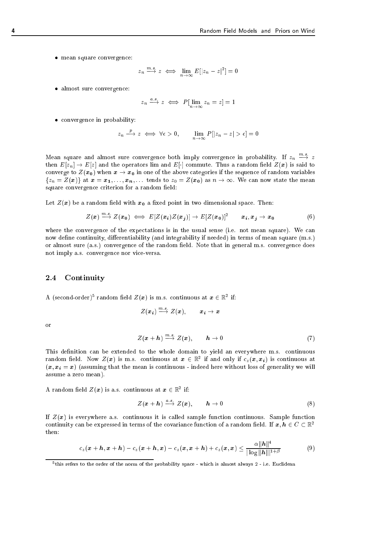mean square convergence:

$$
z_n \xrightarrow{m.s.} z \iff \lim_{n \to \infty} E[|z_n - z|^2] = 0
$$

almost sure convergence:

$$
z_n \xrightarrow{a.s.} z \iff P[\lim_{n \to \infty} z_n = z] = 1
$$

convergence in probability:

$$
z_n \xrightarrow{p} z \iff \forall \epsilon > 0, \qquad \lim_{n \to \infty} P[|z_n - z| > \epsilon] = 0
$$

Mean square and almost sure convergence both imply convergence in probability. If  $z_n \stackrel{\cdots}{\longrightarrow} z$ then  $E[z_n] \to E[z]$  and the operators lim and  $E[\cdot]$  commute. Thus a random field  $Z(x)$  is said to converge to  $Z(x_0)$  when  $x \to x_0$  in one of the above categories if the sequence of random variables  $\{z_n = Z(x)\}\$ at  $x = x_1, \ldots, x_n, \ldots$  tends to  $z_0 = Z(x_0)$  as  $n \to \infty$ . We can now state the mean square convergence criterion for a random field:

Let  $Z(x)$  be a random field with  $x<sub>0</sub>$  a fixed point in two dimensional space. Then:

$$
Z(\boldsymbol{x}) \stackrel{m.s.}{\longrightarrow} Z(\boldsymbol{x_0}) \iff E[Z(\boldsymbol{x_i})Z(\boldsymbol{x_j})] \to E[Z(\boldsymbol{x_0})]^2 \qquad \boldsymbol{x_i}, \boldsymbol{x_j} \to \boldsymbol{x_0} \tag{6}
$$

where the convergence of the expectations is in the usual sense (i.e. not mean square). We can now define continuity, differentiability (and integrability if needed) in terms of mean square (m.s.) or almost sure (a.s.) convergence of the random field. Note that in general m.s. convergence does not imply a.s. convergence nor vice-versa.

#### $2.4$ **Continuity**

A (second-order)<sup>5</sup> random field  $Z(x)$  is m.s. continuous at  $x \in \mathbb{R}^2$  if:

$$
Z(\bm{x_i}) \stackrel{m.s.}{\longrightarrow} Z(\bm{x}), \qquad \bm{x_i} \to \bm{x}
$$

or

$$
Z(\boldsymbol{x} + \boldsymbol{h}) \stackrel{m.s.}{\longrightarrow} Z(\boldsymbol{x}), \qquad \boldsymbol{h} \to 0 \tag{7}
$$

This definition can be extended to the whole domain to yield an everywhere m.s. continuous random field. Now  $Z(x)$  is m.s. continuous at  $x \in \mathbb{R}^2$  if and only if  $c_z(x, x_i)$  is continuous at  $(x, x_i = x)$  (assuming that the mean is continuous - indeed here without loss of generality we will assume a zero mean).

A random field  $Z(\boldsymbol{x})$  is a.s. continuous at  $\boldsymbol{x} \in \mathbb{R}^2$  if:

$$
Z(\mathbf{x} + \mathbf{h}) \xrightarrow{a.s.} Z(\mathbf{x}), \qquad \mathbf{h} \to 0 \tag{8}
$$

If  $Z(x)$  is everywhere a.s. continuous it is called sample function continuous. Sample function continuity can be expressed in terms of the covariance function of a random field. If  $x, h \in C \subset \mathbb{R}^2$ then:

$$
c_z(\boldsymbol{x}+\boldsymbol{h},\boldsymbol{x}+\boldsymbol{h})-c_z(\boldsymbol{x}+\boldsymbol{h},\boldsymbol{x})-c_z(\boldsymbol{x},\boldsymbol{x}+\boldsymbol{h})+c_z(\boldsymbol{x},\boldsymbol{x})\leq \frac{\alpha||\boldsymbol{h}||^4}{|\log ||\boldsymbol{h}|||^{1+\beta}}\qquad \qquad (9)
$$

<sup>5</sup> this refers to the order of the norm of the probability space - which is almost always 2 - i.e. Euclidean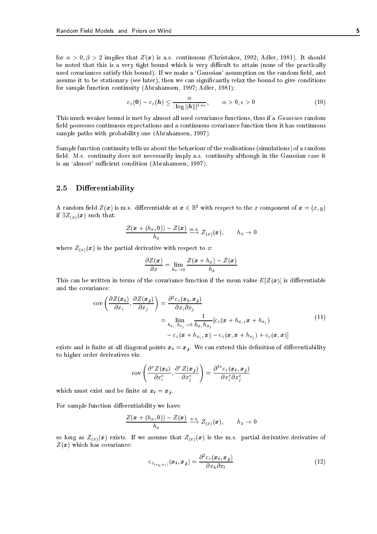for  $\alpha > 0, \beta > 2$  implies that  $Z(x)$  is a.s. continuous (Christakos, 1992; Adler, 1981). It should be noted that this is a very tight bound which is very difficult to attain (none of the practically used covariances satisfy this bound). If we make a 'Gaussian' assumption on the random field, and assume it to be stationary (see later), then we can signicantly relax the bound to give conditions for sample function continuity (Abrahamsen, 1997; Adler, 1981):

$$
c_z(\mathbf{0}) - c_z(\mathbf{h}) \leq \frac{\alpha}{|\log \|\mathbf{h}\||^{1+\epsilon}}, \qquad \alpha > 0, \epsilon > 0 \qquad (10)
$$

This much weaker bound is met by almost all used covariance functions, thus if a Gaussian random eld possesses continuous expectations and a continuous covariance function then it has continuous sample paths with probability one (Abrahamsen, 1997).

Sample function continuity tells us about the behaviour of the realisations (simulations) of a random field. M.s. continuity does not necessarily imply a.s. continuity although in the Gaussian case it is an 'almost' sufficient condition (Abrahamsen, 1997).

## 2.5 Differentiability

A random field  $Z(x)$  is m.s. differentiable at  $x \in \mathbb{R}^2$  with respect to the x component of  $x = (x, y)$ if  $\exists Z_{(x)}(x)$  such that:

$$
\frac{Z(\boldsymbol{x}+(h_x,0))-Z(\boldsymbol{x})}{h_x} \stackrel{m.s.}{\longrightarrow} Z_{(x)}(\boldsymbol{x}), \qquad h_x \to 0
$$

where  $Z(x)(x)$  is the partial derivative with respect to x:

$$
\frac{\partial Z(\boldsymbol{x})}{\partial x} = \lim_{h_x \to 0} \frac{Z(\boldsymbol{x} + h_x) - Z(\boldsymbol{x})}{h_x}
$$

This can be written in terms of the covariance function if the mean value  $E[Z(x)]$  is differentiable and the covariance:

$$
\begin{split} \text{cov}\left(\frac{\partial Z(\boldsymbol{x}_i)}{\partial x_i}, \frac{\partial Z(\boldsymbol{x}_j)}{\partial x_j}\right) &= \frac{\partial^2 c_z(\boldsymbol{x}_i, \boldsymbol{x}_j)}{\partial x_i \partial x_j} \\ &= \lim_{h_{x_i}, h_{x_j} \to 0} \frac{1}{h_{x_i} h_{x_j}} [c_z(\boldsymbol{x} + h_{x_i}, \boldsymbol{x} + h_{x_j}) \\ &- c_z(\boldsymbol{x} + h_{x_i}, \boldsymbol{x}) - c_z(\boldsymbol{x}, \boldsymbol{x} + h_{x_j}) + c_z(\boldsymbol{x}, \boldsymbol{x})] \end{split} \tag{11}
$$

exists and is finite at all diagonal points  $x_i = x_j$ . We can extend this definition of differentiability to higher order derivatives viz:

$$
\operatorname{cov}\left(\frac{\partial^v Z(\boldsymbol{x_i})}{\partial x_i^v}, \frac{\partial^v Z(\boldsymbol{x_j})}{\partial x_j^v}\right) = \frac{\partial^{2v} c_z(\boldsymbol{x_i}, \boldsymbol{x_j})}{\partial x_i^v \partial x_j^v}
$$

which must exist and be finite at  $x_i = x_j$ .

For sample function differentiability we have:

$$
\frac{Z(\boldsymbol{x}+(h_x,0))-Z(\boldsymbol{x})}{h_x} \stackrel{a.s.}{\longrightarrow} Z_{(x)}(\boldsymbol{x}), \qquad h_x \to 0
$$

so long as  $Z_{(x)}(x)$  exists. If we assume that  $Z_{(x)}(x)$  is the m.s. partial derivative derivative of  $Z(x)$  which has covariance:

$$
c_{z_{(x_k,x_l)}}(\boldsymbol{x_i},\boldsymbol{x_j}) = \frac{\partial^2 c_z(\boldsymbol{x_i},\boldsymbol{x_j})}{\partial x_k \partial x_l} \tag{12}
$$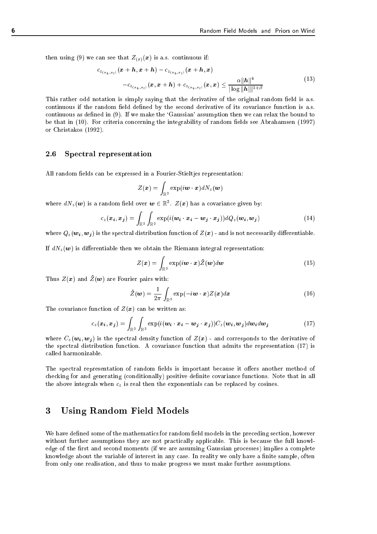then using (9) we can see that  $Z_{(x)}(x)$  is a.s. continuous if:

$$
c_{z_{(x_k, x_l)}}(\mathbf{x} + \mathbf{h}, \mathbf{x} + \mathbf{h}) - c_{z_{(x_k, x_l)}}(\mathbf{x} + \mathbf{h}, \mathbf{x})
$$
  
- 
$$
c_{z_{(x_k, x_l)}}(\mathbf{x}, \mathbf{x} + \mathbf{h}) + c_{z_{(x_k, x_l)}}(\mathbf{x}, \mathbf{x}) \leq \frac{\alpha ||\mathbf{h}||^4}{|\log ||\mathbf{h}||^{1+\beta}}
$$
(13)

This rather odd notation is simply saying that the derivative of the original random field is a.s. continuous if the random field defined by the second derivative of its covariance function is a.s. continuous as defined in (9). If we make the 'Gaussian' assumption then we can relax the bound to be that in (10). For criteria concerning the integrability of random fields see Abrahamsen (1997) or Christakos (1992).

## 2.6 Spectral representation

All random fields can be expressed in a Fourier-Stieltjes representation:

$$
Z(\boldsymbol{x}) = \int_{\mathbb{R}^2} \exp(i \boldsymbol{w} \cdot \boldsymbol{x}) dN_z(\boldsymbol{w})
$$

where  $dN_z(\boldsymbol{w})$  is a random field over  $\boldsymbol{w}\in\mathbb{R}^2$ .  $Z(\boldsymbol{x})$  has a covariance given by:

$$
c_z(\boldsymbol{x_i}, \boldsymbol{x_j}) = \int_{\mathbb{R}^2} \int_{\mathbb{R}^2} \exp(i(\boldsymbol{w_i} \cdot \boldsymbol{x_i} - \boldsymbol{w_j} \cdot \boldsymbol{x_j})) dQ_z(\boldsymbol{w_i}, \boldsymbol{w_j})
$$
(14)

where  $Q_z(\mathbf{w}_i, \mathbf{w}_j)$  is the spectral distribution function of  $Z(\mathbf{x})$  - and is not necessarily differentiable.

If  $dN_z(\boldsymbol{w})$  is differentiable then we obtain the Riemann integral representation:

$$
Z(\boldsymbol{x}) = \int_{\mathbb{R}^2} \exp(i\boldsymbol{w} \cdot \boldsymbol{x}) \tilde{Z}(\boldsymbol{w}) d\boldsymbol{w}
$$
 (15)

Thus  $Z(x)$  and  $\tilde{Z}(w)$  are Fourier pairs with:

$$
\tilde{Z}(\boldsymbol{w}) = \frac{1}{2\pi} \int_{\mathbb{R}^2} \exp(-i\boldsymbol{w} \cdot \boldsymbol{x}) Z(\boldsymbol{x}) d\boldsymbol{x}
$$
 (16)

The covariance function of  $Z(x)$  can be written as:

$$
c_z(\boldsymbol{x}_i, \boldsymbol{x}_j) = \int_{\mathbb{R}^2} \int_{\mathbb{R}^2} \exp(i(\boldsymbol{w}_i \cdot \boldsymbol{x}_i - \boldsymbol{w}_j \cdot \boldsymbol{x}_j)) C_z(\boldsymbol{w}_i, \boldsymbol{w}_j) d\boldsymbol{w}_i d\boldsymbol{w}_j
$$
(17)

where  $C_z(\mathbf{w}_i, \mathbf{w}_j)$  is the spectral density function of  $Z(\mathbf{x})$  - and corresponds to the derivative of the spectral distribution function. A covariance function that admits the representation (17) is called harmonizable.

The spectral representation of random fields is important because it offers another method of checking for and generating (conditionally) positive definite covariance functions. Note that in all the above integrals when  $c_z$  is real then the exponentials can be replaced by cosines.

## 3 Using Random Field Models

We have defined some of the mathematics for random field models in the preceding section, however without further assumptions they are not practically applicable. This is because the full knowledge of the first and second moments (if we are assuming Gaussian processes) implies a complete knowledge about the variable of interest in any case. In reality we only have a finite sample, often from only one realisation, and thus to make progress we must make further assumptions.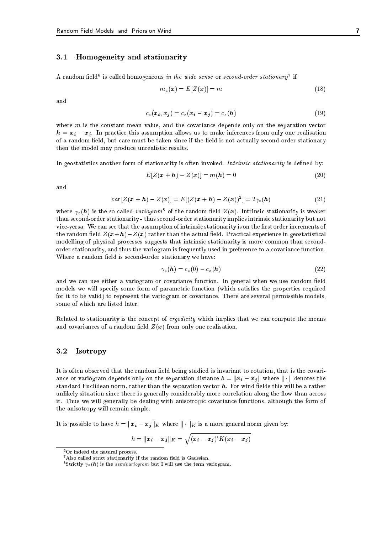#### $3.1$ 3.1 Homogeneity and stationarity

A random neid is called nomogeneous in the wide sense or second-order stationary  $\,$  if

$$
m_z(\mathbf{x}) = E[Z(\mathbf{x})] = m \tag{18}
$$

and

$$
c_z(\boldsymbol{x}_i, \boldsymbol{x}_j) = c_z(\boldsymbol{x}_i - \boldsymbol{x}_j) = c_z(\boldsymbol{h}) \tag{19}
$$

where  $m$  is the constant mean value, and the covariance depends only on the separation vector  $h = x_i - x_j$ . In practice this assumption allows us to make inferences from only one realisation of a random field, but care must be taken since if the field is not actually second-order stationary then the model may produce unrealistic results.

In geostatistics another form of stationarity is often invoked. Intrinsic stationarity is defined by:

$$
E[Z(\boldsymbol{x} + \boldsymbol{h}) - Z(\boldsymbol{x})] = m(\boldsymbol{h}) = 0 \tag{20}
$$

and

$$
var[Z(\bm{x}+\bm{h}) - Z(\bm{x})] = E[(Z(\bm{x}+\bm{h}) - Z(\bm{x}))^2] = 2\gamma_z(\bm{h})
$$
\n(21)

where  $\gamma_z(\pmb{h})$  is the so called variogram<sup>8</sup> of the random field  $Z(\pmb{x})$ . Intrinsic stationarity is weaker than second-order stationarity - thus second-order stationarity implies intrinsic stationarity but not vice-versa. We can see that the assumption of intrinsic stationarity is on the first order increments of the random field  $Z(x+h) - Z(x)$  rather than the actual field. Practical experience in geostatistical modelling of physical processes suggests that intrinsic stationarity is more common than secondorder stationarity, and thus the variogram is frequently used in preference to a covariance function. Where a random field is second-order stationary we have:

$$
\gamma_z(\boldsymbol{h}) = c_z(0) - c_z(\boldsymbol{h}) \tag{22}
$$

and we can use either a variogram or covariance function. In general when we use random field models we will specify some form of parametric function (which satisfies the properties required for it to be valid) to represent the variogram or covariance. There are several permissible models, some of which are listed later.

Related to stationarity is the concept of *ergodicity* which implies that we can compute the means and covariances of a random field  $Z(x)$  from only one realisation.

## 3.2 Isotropy

It is often observed that the random field being studied is invariant to rotation, that is the covariance or variogram depends only on the separation distance  $h = ||x_i - x_j||$  where  $|| \cdot ||$  denotes the standard Euclidean norm, rather than the separation vector  $h$ . For wind fields this will be a rather unlikely situation since there is generally considerably more correlation along the flow than across it. Thus we will generally be dealing with anisotropic covariance functions, although the form of the anisotropy will remain simple.

It is possible to have  $h = ||x_i - x_j||_K$  where  $|| \cdot ||_K$  is a more general norm given by:

$$
h = ||\boldsymbol{x}_i - \boldsymbol{x}_j||_K = \sqrt{(\boldsymbol{x}_i - \boldsymbol{x}_j)'K(\boldsymbol{x}_i - \boldsymbol{x}_j)}
$$

<sup>6</sup>Or indeed the natural process.

 $7$ Also called strict stationarity if the random field is Gaussian.

 $\sim$  strictly  $\gamma_z(n)$  is the *semivariogram* but I will use the term variogram.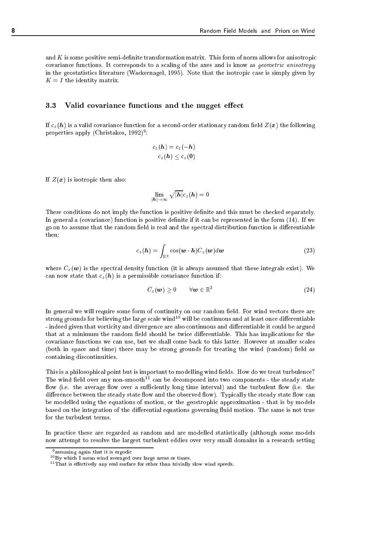and  $K$  is some positive semi-definite transformation matrix. This form of norm allows for anisotropic covariance functions. It corresponds to a scaling of the axes and is know as geometric anisotropy in the geostatistics literature (Wackernagel, 1995). Note that the isotropic case is simply given by  $K = I$  the identity matrix.

#### $3.3$ Valid covariance functions and the nugget effect

If  $c_z(h)$  is a valid covariance function for a second-order stationary random field  $Z(x)$  the following properties apply (Christakos, 1992)<sup>-</sup>:

$$
c_z(\boldsymbol{h}) = c_z(-\boldsymbol{h})
$$
  

$$
c_z(\boldsymbol{h}) \le c_z(0)
$$

If  $Z(x)$  is isotropic then also:

$$
\lim_{|\bm{h}| \to \infty}\sqrt{|\bm{h}|}c_z(\bm{h})=0
$$

These conditions do not imply the function is positive definite and this must be checked separately. In general a (covariance) function is positive definite if it can be represented in the form  $(14)$ . If we go on to assume that the random field is real and the spectral distribution function is differentiable  $then.$ 

$$
c_z(\boldsymbol{h}) = \int_{\mathbb{R}^2} \cos(\boldsymbol{w} \cdot \boldsymbol{h}) C_z(\boldsymbol{w}) d\boldsymbol{w}
$$
 (23)

where  $C_z(\boldsymbol{w})$  is the spectral density function (it is always assumed that these integrals exist). We can now state that  $c_z(h)$  is a permissible covariance function if:

$$
C_z(\boldsymbol{w}) \geq 0 \qquad \forall \boldsymbol{w} \in \mathbb{R}^2 \tag{24}
$$

In general we will require some form of continuity on our random field. For wind vectors there are strong grounds for believing the large scale wind<sup>10</sup> will be continuous and at least once differentiable - indeed given that vorticity and divergence are also continuous and differentiable it could be argued that at a minimum the random field should be twice differentiable. This has implications for the covariance functions we can use, but we shall come back to this latter. However at smaller scales (both in space and time) there may be strong grounds for treating the wind (random) field as containing discontinuities.

This is a philosophical point but is important to modelling wind fields. How do we treat turbulence? The wind field over any non-smooth<sup>11</sup> can be decomposed into two components - the steady state flow (i.e. the average flow over a sufficiently long time interval) and the turbulent flow (i.e. the difference between the steady state flow and the observed flow). Typically the steady state flow can be modelled using the equations of motion, or the geostrophic approximation - that is by models based on the integration of the differential equations governing fluid motion. The same is not true for the turbulent terms.

In practice these are regarded as random and are modelled statistically (although some models now attempt to resolve the largest turbulent eddies over very small domains in a research setting

<sup>9</sup> assuming again that it is ergodic

 $10\,\text{Bv}$  which I mean wind averaged over large areas or times.

 $11$ That is effectively any real surface for other than trivially slow wind speeds.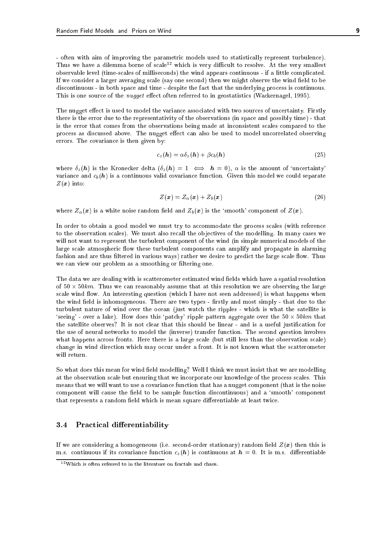- often with aim of improving the parametric models used to statistically represent turbulence). Thus we have a dilemma borne of scale<sup>12</sup> which is very difficult to resolve. At the very smallest observable level (time-scales of milliseconds) the wind appears continuous - if a little complicated. If we consider a larger averaging scale (say one second) then we might observe the wind field to be discontinuous - in both space and time - despite the fact that the underlying process is continuous. This is one source of the *nugget* effect often referred to in geostatistics (Wackernagel, 1995).

The nugget effect is used to model the variance associated with two sources of uncertainty. Firstly there is the error due to the representativity of the observations (in space and possibly time) - that is the error that comes from the observations being made at inconsistent scales compared to the process as discussed above. The nugget effect can also be used to model uncorrelated observing errors. The covariance is then given by:

$$
c_z(\mathbf{h}) = \alpha \delta_z(\mathbf{h}) + \beta c_b(\mathbf{h}) \tag{25}
$$

where  $\delta_z(h)$  is the Kronecker delta  $(\delta_z(h) = 1 \iff h = 0)$ ,  $\alpha$  is the amount of 'uncertainty' variance and  $c_b(h)$  is a continuous valid covariance function. Given this model we could separate  $Z(x)$  into:

$$
Z(\boldsymbol{x}) = Z_{\alpha}(\boldsymbol{x}) + Z_{b}(\boldsymbol{x}) \tag{26}
$$

where  $Z_{\alpha}(x)$  is a white noise random field and  $Z_{b}(x)$  is the 'smooth' component of  $Z(x)$ .

In order to obtain a good model we must try to accommodate the process scales (with reference to the observation scales). We must also recall the ob jectives of the modelling. In many cases we will not want to represent the turbulent component of the wind (in simple numerical models of the large scale atmospheric flow these turbulent components can amplify and propagate in alarming fashion and are thus filtered in various ways) rather we desire to predict the large scale flow. Thus we can view our problem as a smoothing or filtering one.

The data we are dealing with is scatterometer estimated wind fields which have a spatial resolution of  $50 \times 50 km$ . Thus we can reasonably assume that at this resolution we are observing the large scale wind flow. An interesting question (which I have not seen addressed) is what happens when the wind field is inhomogeneous. There are two types - firstly and most simply - that due to the turbulent nature of wind over the ocean (just watch the ripples - which is what the satellite is 'seeing' - over a lake). How does this 'patchy' ripple pattern aggregate over the  $50 \times 50 km$  that the satellite observes? It is not clear that this should be linear - and is a useful justication for the use of neural networks to model the (inverse) transfer function. The second question involves what happens across fronts. Here there is a large scale (but still less than the observation scale) change in wind direction which may occur under a front. It is not known what the scatterometer will return.

So what does this mean for wind field modelling? Well I think we must insist that we are modelling at the observation scale but ensuring that we incorporate our knowledge of the process scales. This means that we will want to use a covariance function that has a nugget component (that is the noise component will cause the field to be sample function discontinuous) and a 'smooth' component that represents a random field which is mean square differentiable at least twice.

## 3.4 Practical differentiability

If we are considering a homogeneous (i.e. second-order stationary) random field  $Z(x)$  then this is m.s. continuous if its covariance function  $c_z(h)$  is continuous at  $h = 0$ . It is m.s. differentiable

 $12$ Which is often referred to in the literature on fractals and chaos.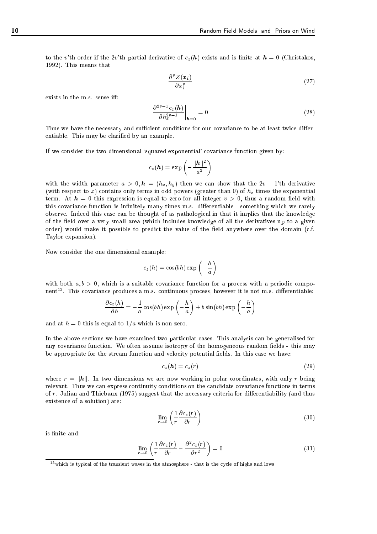to the v'th order if the 2v'th partial derivative of  $c_z(h)$  exists and is finite at  $h = 0$  (Christakos, 1992). This means that

$$
\frac{\partial^v Z(\boldsymbol{x_i})}{\partial x_i^v} \tag{27}
$$

exists in the m.s. sense iff:

$$
\left. \frac{\partial^{2v-1} c_z(\boldsymbol{h})}{\partial h_x^{2v-1}} \right|_{\boldsymbol{h}=0} = 0 \tag{28}
$$

Thus we have the necessary and sufficient conditions for our covariance to be at least twice differentiable. This may be claried by an example.

If we consider the two dimensional 'squared exponential' covariance function given by:

$$
c_z(\boldsymbol{h}) = \exp\left(-\frac{\|\boldsymbol{h}\|^2}{a^2}\right)
$$

with the width parameter  $a > 0, h = (h_x, h_y)$  then we can show that the  $2v - 1$ 'th derivative (with respect to x) contains only terms in odd powers (greater than 0) of  $h_x$  times the exponential term. At  $h = 0$  this expression is equal to zero for all integer  $v > 0$ , thus a random field with this covariance function is infinitely many times m.s. differentiable - something which we rarely observe. Indeed this case can be thought of as pathological in that it implies that the knowledge of the field over a very small area (which includes knowledge of all the derivatives up to a given order) would make it possible to predict the value of the field anywhere over the domain (c.f. Taylor expansion).

Now consider the one dimensional example:

$$
c_z(h) = \cos(bh) \exp\left(-\frac{h}{a}\right)
$$

with both  $a, b > 0$ , which is a suitable covariance function for a process with a periodic component <sup>13</sup> . This covariance produces a m.s. continuous process, however it is not m.s. dierentiable:

$$
\frac{\partial c_z(h)}{\partial h} = -\frac{1}{a}\cos(bh)\exp\left(-\frac{h}{a}\right) + b\sin(bh)\exp\left(-\frac{h}{a}\right)
$$

and at  $h = 0$  this is equal to  $1/a$  which is non-zero.

In the above sections we have examined two particular cases. This analysis can be generalised for any covariance function. We often assume isotropy of the homogeneous random fields - this may be appropriate for the stream function and velocity potential fields. In this case we have:

$$
c_z(\mathbf{h}) = c_z(r) \tag{29}
$$

where  $r = ||h||$ . In two dimensions we are now working in polar coordinates, with only r being relevant. Thus we can express continuity conditions on the candidate covariance functions in terms of r. Julian and Thiebaux (1975) suggest that the necessary criteria for differentiability (and thus existence of a solution) are:

$$
\lim_{r \to 0} \left( \frac{1}{r} \frac{\partial c_z(r)}{\partial r} \right) \tag{30}
$$

is finite and:

$$
\lim_{r \to 0} \left( \frac{1}{r} \frac{\partial c_z(r)}{\partial r} - \frac{\partial^2 c_z(r)}{\partial r^2} \right) = 0 \tag{31}
$$

<sup>13</sup>which is typical of the transient waves in the atmosphere - that is the cycle of highs and lows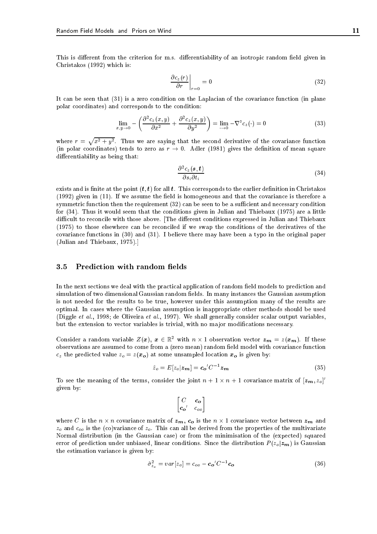This is different from the criterion for m.s. differentiability of an isotropic random field given in Christakos (1992) which is:

$$
\left. \frac{\partial c_z(r)}{\partial r} \right|_{r=0} = 0 \tag{32}
$$

It can be seen that (31) is a zero condition on the Laplacian of the covariance function (in plane polar coordinates) and corresponds to the condition:

$$
\lim_{x,y \to 0} -\left(\frac{\partial^2 c_z(x,y)}{\partial x^2} + \frac{\partial^2 c_z(x,y)}{\partial y^2}\right) = \lim_{\to 0} -\nabla^2 c_z(\cdot) = 0
$$
\n(33)

where  $r = \sqrt{x^2 + y^2}$ . Thus we are saying that the second derivative of the covariance function (in polar coordinates) tends to zero as  $r \to 0$ . Adler (1981) gives the definition of mean square differentiability as being that:

$$
\frac{\partial^2 c_z(s,t)}{\partial s_i \partial t_i} \tag{34}
$$

exists and is finite at the point  $(t, t)$  for all t. This corresponds to the earlier definition in Christakos  $(1992)$  given in  $(11)$ . If we assume the field is homogeneous and that the covariance is therefore a symmetric function then the requirement  $(32)$  can be seen to be a sufficient and necessary condition for (34). Thus it would seem that the conditions given in Julian and Thiebaux (1975) are a little difficult to reconcile with those above. [The different conditions expressed in Julian and Thiebaux (1975) to those elsewhere can be reconciled if we swap the conditions of the derivatives of the covariance functions in (30) and (31). I believe there may have been a typo in the original paper (Julian and Thiebaux, 1975).]

#### 3.5 Prediction with random fields

In the next sections we deal with the practical application of random field models to prediction and simulation of two dimensional Gaussian random fields. In many instances the Gaussian assumption is not needed for the results to be true, however under this assumption many of the results are optimal. In cases where the Gaussian assumption is inappropriate other methods should be used (Diggle et al., 1998; de Oliveira et al., 1997). We shall generally consider scalar output variables, but the extension to vector variables is trivial, with no major modifications necessary.

Consider a random variable  $Z(x)$ ,  $x \in \mathbb{R}^2$  with  $n \times 1$  observation vector  $z_m = z(x_m)$ . If these observations are assumed to come from a (zero mean) random field model with covariance function  $c_z$  the predicted value  $z_o = z(x_o)$  at some unsampled location  $x_o$  is given by:

$$
\hat{z}_o = E[z_o | \mathbf{z}_m] = c_o' C^{-1} \mathbf{z}_m \tag{35}
$$

To see the meaning of the terms, consider the joint  $n + 1 \times n + 1$  covariance matrix of  $|z_m, z_o|$ given by:

$$
\begin{bmatrix} C & c_o \\ c_o' & c_{oo} \end{bmatrix}
$$

where C is the  $n \times n$  covariance matrix of  $z_m$ ,  $c_o$  is the  $n \times 1$  covariance vector between  $z_m$  and  $z<sub>o</sub>$  and  $c<sub>oo</sub>$  is the (co)variance of  $z<sub>o</sub>$ . This can all be derived from the properties of the multivariate Normal distribution (in the Gaussian case) or from the minimisation of the (expected) squared error of prediction under unbiased, linear conditions. Since the distribution  $P(z_0|\mathbf{z_m})$  is Gaussian the estimation variance is given by:

$$
\hat{\sigma}_{z_o}^2 = var[z_o] = c_{oo} - \mathbf{c_o}^{\prime} C^{-1} \mathbf{c_o}
$$
\n(36)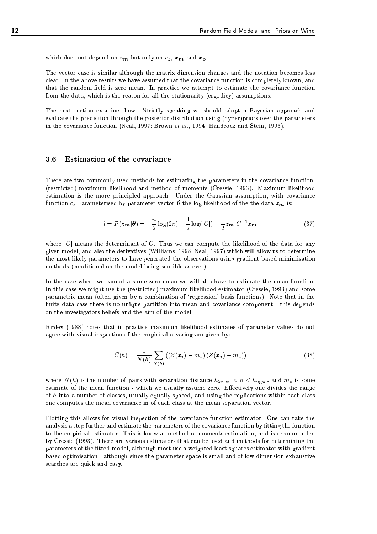which does not depend on  $z_m$  but only on  $c_z$ ,  $x_m$  and  $x_o$ .

The vector case is similar although the matrix dimension changes and the notation becomes less clear. In the above results we have assumed that the covariance function is completely known, and that the random field is zero mean. In practice we attempt to estimate the covariance function from the data, which is the reason for all the stationarity (ergodicy) assumptions.

The next section examines how. Strictly speaking we should adopt a Bayesian approach and evaluate the prediction through the posterior distribution using (hyper)priors over the parameters in the covariance function (Neal, 1997; Brown et al., 1994; Handcock and Stein, 1993).

There are two commonly used methods for estimating the parameters in the covariance function; (restricted) maximum likelihood and method of moments (Cressie, 1993). Maximum likelihood estimation is the more principled approach. Under the Gaussian assumption, with covariance function  $c_z$  parameterised by parameter vector  $\theta$  the log likelihood of the the data  $z_m$  is:

$$
l = P(z_{m}|\theta) = -\frac{n}{2}\log(2\pi) - \frac{1}{2}\log(|C|) - \frac{1}{2}z_{m}^{\prime}C^{-1}z_{m}
$$
\n(37)

where  $|C|$  means the determinant of C. Thus we can compute the likelihood of the data for any given model, and also the derivatives (Williams, 1998; Neal, 1997) which will allow us to determine the most likely parameters to have generated the observations using gradient based minimisation methods (conditional on the model being sensible as ever).

In the case where we cannot assume zero mean we will also have to estimate the mean function. In this case we might use the (restricted) maximum likelihood estimator (Cressie, 1993) and some parametric mean (often given by a combination of `regression' basis functions). Note that in the finite data case there is no unique partition into mean and covariance component - this depends on the investigators beliefs and the aim of the model.

Ripley (1988) notes that in practice maximum likelihood estimates of parameter values do not agree with visual inspection of the empirical covariogram given by:

$$
\bar{C}(h) = \frac{1}{N(h)} \sum_{N(h)} ((Z(\bm{x_i}) - m_z) (Z(\bm{x_j}) - m_z))
$$
\n(38)

where  $N(h)$  is the number of pairs with separation distance  $h_{lower} \leq h < h_{upper}$  and  $m_z$  is some estimate of the mean function - which we usually assume zero. Effectively one divides the range of  $h$  into a number of classes, usually equally spaced, and using the replications within each class one computes the mean covariance in of each class at the mean separation vector.

Plotting this allows for visual inspection of the covariance function estimator. One can take the analysis a step further and estimate the parameters of the covariance function by fitting the function to the empirical estimator. This is know as method of moments estimation, and is recommended by Cressie (1993). There are various estimators that can be used and methods for determining the parameters of the fitted model, although most use a weighted least squares estimator with gradient based optimisation - although since the parameter space is small and of low dimension exhaustive searches are quick and easy.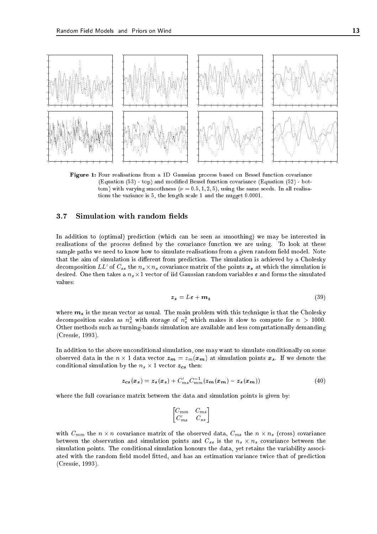

Figure 1: Four realisations from a 1D Gaussian process based on Bessel function covariance (Equation (53) - top) and modied Bessel function covariance (Equation (52) - bottom) with varying smoothness ( $\nu = 0.5, 1, 2, 5$ ), using the same seeds. In all realisations the variance is 5, the length scale 1 and the nugget 0.0001.

## 3.7 Simulation with random fields

In addition to (optimal) prediction (which can be seen as smoothing) we may be interested in realisations of the process defined by the covariance function we are using. To look at these sample paths we need to know how to simulate realisations from a given random field model. Note that the aim of simulation is different from prediction. The simulation is achieved by a Cholesky decomposition  $LL'$  of  $C_{ss}$  the  $n_s \times n_s$  covariance matrix of the points  $\bm{x_s}$  at which the simulation is desired. One then takes a  $n_s\times$  1 vector of 11d Gaussian random variables  $\varepsilon$  and forms the simulated values:

$$
z_s = L\varepsilon + m_z \tag{39}
$$

where  $m_z$  is the mean vector as usual. The main problem with this technique is that the Cholesky decomposition scales as  $n_s^2$  with storage of  $n_s^2$  which makes it slow to compute for  $n > 1000$ . Other methods such as turning-bands simulation are available and less computationally demanding (Cressie, 1993).

In addition to the above unconditional simulation, one may want to simulate conditionally on some observed data in the  $n \times 1$  data vector  ${\bm z}_{\bm m} = z_m({\bm x}_{\bm m})$  at simulation points  ${\bm x}_{\bm s}.$  If we denote the conditional simulation by the  $n_s \times 1$  vector  $\boldsymbol{z_{cs}}$  then:

$$
z_{cs}(x_s) = z_s(x_s) + C'_{ms}C_{mm}^{-1}(z_m(x_m) - z_s(x_m))
$$
\n
$$
(40)
$$

where the full covariance matrix between the data and simulation points is given by:

$$
\begin{bmatrix} C_{mm} & C_{ms} \\ C'_{ms} & C_{ss} \end{bmatrix}
$$

with  $C_{mm}$  the  $n \times n$  covariance matrix of the observed data,  $C_{ms}$  the  $n \times n_s$  (cross) covariance between the observation and simulation points and  $C_{ss}$  is the  $n_s \times n_s$  covariance between the simulation points. The conditional simulation honours the data, yet retains the variability associated with the random field model fitted, and has an estimation variance twice that of prediction (Cressie, 1993).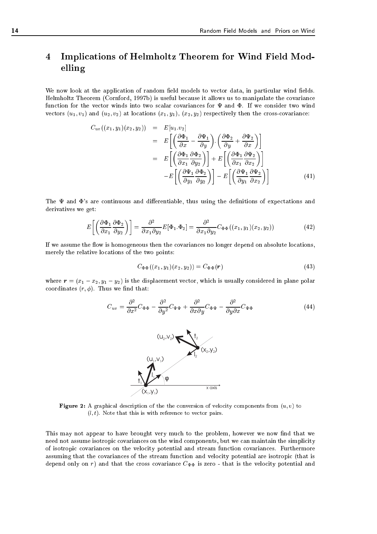# 4 Implications of Helmholtz Theorem for Wind Field Modelling

We now look at the application of random field models to vector data, in particular wind fields. Helmholtz Theorem (Cornford, 1997b) is useful because it allows us to manipulate the covariance function for the vector winds into two scalar covariances for  $\Psi$  and  $\Phi$ . If we consider two wind vectors  $(u_1, v_1)$  and  $(u_2, v_2)$  at locations  $(x_1, y_1), (x_2, y_2)$  respectively then the cross-covariance:

$$
C_{uv}((x_1, y_1)(x_2, y_2)) = E[u_1. v_2]
$$
  
\n
$$
= E\left[\left(\frac{\partial \Phi_1}{\partial x} - \frac{\partial \Psi_1}{\partial y}\right) \cdot \left(\frac{\partial \Phi_2}{\partial y} + \frac{\partial \Psi_2}{\partial x}\right)\right]
$$
  
\n
$$
= E\left[\left(\frac{\partial \Phi_1}{\partial x_1} \frac{\partial \Phi_2}{\partial y_2}\right)\right] + E\left[\left(\frac{\partial \Phi_1}{\partial x_1} \frac{\partial \Psi_2}{\partial x_2}\right)\right]
$$
  
\n
$$
-E\left[\left(\frac{\partial \Psi_1}{\partial y_1} \frac{\partial \Phi_2}{\partial y_2}\right)\right] - E\left[\left(\frac{\partial \Psi_1}{\partial y_1} \frac{\partial \Psi_2}{\partial x_2}\right)\right]
$$
(41)

The  $\Psi$  and  $\Phi$ 's are continuous and differentiable, thus using the definitions of expectations and derivatives we get:

$$
E\left[\left(\frac{\partial \Phi_1}{\partial x_1} \frac{\partial \Phi_2}{\partial y_2}\right)\right] = \frac{\partial^2}{\partial x_1 \partial y_2} E[\Phi_1.\Phi_2] = \frac{\partial^2}{\partial x_1 \partial y_2} C_{\Phi\Phi}((x_1, y_1)(x_2, y_2))\tag{42}
$$

If we assume the flow is homogeneous then the covariances no longer depend on absolute locations, merely the relative locations of the two points:

$$
C_{\Phi\Phi}((x_1, y_1)(x_2, y_2)) = C_{\Phi\Phi}(\mathbf{r})
$$
\n(43)

where  $\mathbf{r} = (x_1 - x_2, y_1 - y_2)$  is the displacement vector, which is usually considered in plane polar coordinates  $(r, \phi)$ . Thus we find that:

$$
C_{uv} = \frac{\partial^2}{\partial x^2} C_{\Phi\Phi} - \frac{\partial^2}{\partial y^2} C_{\Psi\Psi} + \frac{\partial^2}{\partial x \partial y} C_{\Phi\Psi} - \frac{\partial^2}{\partial y \partial x} C_{\Psi\Phi}
$$
(44)



Figure 2: A graphical description of the the conversion of velocity components from (u; v) to  $(l, t)$ . Note that this is with reference to vector pairs.

This may not appear to have brought very much to the problem, however we now find that we need not assume isotropic covariances on the wind components, but we can maintain the simplicity of isotropic covariances on the velocity potential and stream function covariances. Furthermore assuming that the covariances of the stream function and velocity potential are isotropic (that is depend only on r) and that the cross covariance  $C_{\Psi\Phi}$  is zero - that is the velocity potential and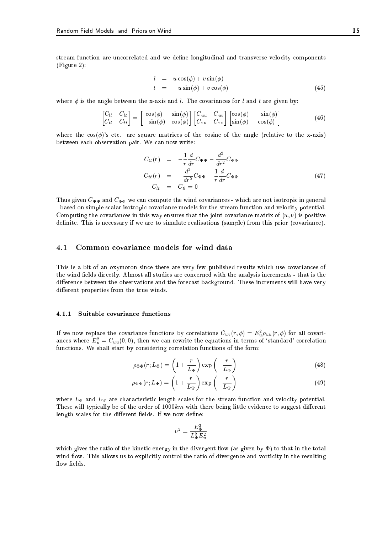stream function are uncorrelated and we define longitudinal and transverse velocity components (Figure 2):

$$
l = u \cos(\phi) + v \sin(\phi)
$$
  
\n
$$
t = -u \sin(\phi) + v \cos(\phi)
$$
\n(45)

where  $\phi$  is the angle between the x-axis and l. The covariances for l and t are given by:

$$
\begin{bmatrix} C_{ll} & C_{lt} \\ C_{tl} & C_{tt} \end{bmatrix} = \begin{bmatrix} \cos(\phi) & \sin(\phi) \\ -\sin(\phi) & \cos(\phi) \end{bmatrix} \begin{bmatrix} C_{uu} & C_{uv} \\ C_{vu} & C_{vv} \end{bmatrix} \begin{bmatrix} \cos(\phi) & -\sin(\phi) \\ \sin(\phi) & \cos(\phi) \end{bmatrix}
$$
(46)

where the  $\cos(\phi)$ 's etc. are square matrices of the cosine of the angle (relative to the x-axis) between each observation pair. We can now write:

$$
C_{ll}(r) = -\frac{1}{r}\frac{d}{dr}C_{\Psi\Psi} - \frac{d^2}{dr^2}C_{\Phi\Phi}
$$
  
\n
$$
C_{tt}(r) = -\frac{d^2}{dr^2}C_{\Psi\Psi} - \frac{1}{r}\frac{d}{dr}C_{\Phi\Phi}
$$
  
\n
$$
C_{lt} = C_{tt} = 0
$$
\n(47)

Thus given  $C_{\Psi\Psi}$  and  $C_{\Phi\Phi}$  we can compute the wind covariances - which are not isotropic in general - based on simple scalar isotropic covariance models for the stream function and velocity potential. Computing the covariances in this way ensures that the joint covariance matrix of  $(u, v)$  is positive definite. This is necessary if we are to simulate realisations (sample) from this prior (covariance).

## 4.1 Common covariance models for wind data

This is a bit of an oxymoron since there are very few published results which use covariances of the wind fields directly. Almost all studies are concerned with the analysis increments - that is the difference between the observations and the forecast background. These increments will have very different properties from the true winds.

#### $4.1.1$ Suitable covariance functions

If we now replace the covariance functions by correlations  $C_{uv}(r,\phi) = E_u^2 \rho_{uu}(r,\phi)$  for all covariances where  $E_u^2 = C_{uu}(0,0)$ , then we can rewrite the equations in terms of 'standard' correlation functions. We shall start by considering correlation functions of the form:

$$
\rho_{\Phi\Phi}(r;L_{\Phi}) = \left(1 + \frac{r}{L_{\Phi}}\right) \exp\left(-\frac{r}{L_{\Phi}}\right)
$$
(48)

$$
\rho_{\Psi\Psi}(r;L_{\Psi}) = \left(1 + \frac{r}{L_{\Psi}}\right) \exp\left(-\frac{r}{L_{\Psi}}\right)
$$
(49)

where  $L_{\Phi}$  and  $L_{\Psi}$  are characteristic length scales for the stream function and velocity potential. These will typically be of the order of  $1000km$  with there being little evidence to suggest different length scales for the different fields. If we now define:

$$
v^2 = \frac{E_\Phi^2}{L_\Phi^2 E_u^2}
$$

which gives the ratio of the kinetic energy in the divergent flow (as given by  $\Phi$ ) to that in the total wind flow. This allows us to explicitly control the ratio of divergence and vorticity in the resulting flow fields.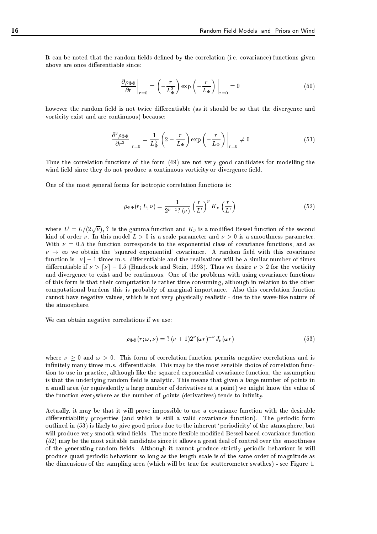It can be noted that the random fields defined by the correlation (i.e. covariance) functions given above are once differentiable since:

$$
\left. \frac{\partial \rho_{\Phi\Phi}}{\partial r} \right|_{r=0} = \left( -\frac{r}{L_{\Phi}^2} \right) \exp\left( -\frac{r}{L_{\Phi}} \right) \Big|_{r=0} = 0 \tag{50}
$$

however the random field is not twice differentiable (as it should be so that the divergence and vorticity exist and are continuous) because:

$$
\left. \frac{\partial^3 \rho_{\Phi \Phi}}{\partial r^3} \right|_{r=0} = \frac{1}{L_{\Phi}^3} \left( 2 - \frac{r}{L_{\Phi}} \right) \exp\left( -\frac{r}{L_{\Phi}} \right) \Big|_{r=0} \neq 0 \tag{51}
$$

Thus the correlation functions of the form (49) are not very good candidates for modelling the wind field since they do not produce a continuous vorticity or divergence field.

One of the most general forms for isotropic correlation functions is:

$$
\rho_{\Phi\Phi}(r;L,\nu) = \frac{1}{2^{\nu-1}\gamma(\nu)} \left(\frac{r}{L'}\right)^{\nu} K_{\nu}\left(\frac{r}{L'}\right) \tag{52}
$$

where  $L'=L/(2\sqrt{\nu})$ , ? is the gamma function and  $K_{\nu}$  is a modified Bessel function of the second kind of order  $\nu$ . In this model  $L > 0$  is a scale parameter and  $\nu > 0$  is a smoothness parameter. With  $\nu = 0.5$  the function corresponds to the exponential class of covariance functions, and as  $\nu \rightarrow \infty$  we obtain the 'squared exponential' covariance. A random field with this covariance function is  $[\nu] - 1$  times m.s. differentiable and the realisations will be a similar number of times differentiable if  $\nu > [\nu] - 0.5$  (Handcock and Stein, 1993). Thus we desire  $\nu > 2$  for the vorticity and divergence to exist and be continuous. One of the problems with using covariance functions of this form is that their computation is rather time consuming, although in relation to the other computational burdens this is probably of marginal importance. Also this correlation function cannot have negative values, which is not very physically realistic - due to the wave-like nature of the atmosphere.

We can obtain negative correlations if we use:

$$
\rho_{\Phi\Phi}(r;\omega,\nu) = ?(\nu+1)2^{\nu}(\omega r)^{-\nu}J_{\nu}(\omega r) \tag{53}
$$

where  $\nu > 0$  and  $\omega > 0$ . This form of correlation function permits negative correlations and is infinitely many times m.s. differentiable. This may be the most sensible choice of correlation function to use in practice, although like the squared exponential covariance function, the assumption is that the underlying random field is analytic. This means that given a large number of points in a small area (or equivalently a large number of derivatives at a point) we might know the value of the function everywhere as the number of points (derivatives) tends to infinity.

Actually, it may be that it will prove impossible to use a covariance function with the desirable differentiability properties (and which is still a valid covariance function). The periodic form outlined in (53) is likely to give good priors due to the inherent 'periodicity' of the atmosphere, but will produce very smooth wind fields. The more flexible modified Bessel based covariance function (52) may be the most suitable candidate since it allows a great deal of control over the smoothness of the generating random fields. Although it cannot produce strictly periodic behaviour is will produce quasi-periodic behaviour so long as the length scale is of the same order of magnitude as the dimensions of the sampling area (which will be true for scatterometer swathes) - see Figure 1.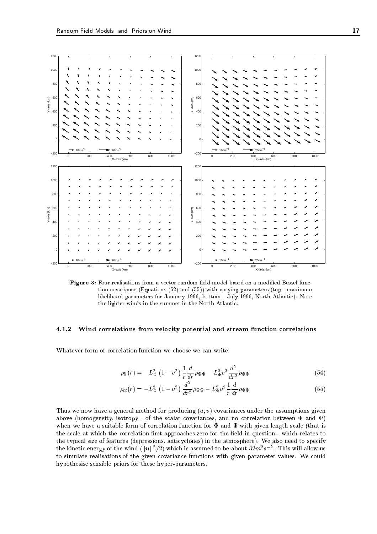

Figure 3: Four realisations from a vector random eld model based on a modied Bessel function covariance (Equations (52) and (55)) with varying parameters (top - maximum likelihood parameters for January 1996, bottom - July 1996, North Atlantic). Note the lighter winds in the summer in the North Atlantic.

## 4.1.2 Wind correlations from velocity potential and stream function correlations

Whatever form of correlation function we choose we can write:

$$
\rho_{ll}(r) = -L_{\Psi}^2 \left(1 - v^2\right) \frac{1}{r} \frac{d}{dr} \rho_{\Psi\Psi} - L_{\Phi}^2 v^2 \frac{d^2}{dr^2} \rho_{\Phi\Phi} \tag{54}
$$

$$
\rho_{tt}(r) = -L^2_{\Psi} \left( 1 - v^2 \right) \frac{d^2}{dr^2} \rho_{\Psi\Psi} - L^2_{\Phi} v^2 \frac{1}{r} \frac{d}{dr} \rho_{\Phi\Phi} \tag{55}
$$

Thus we now have a general method for producing  $(u, v)$  covariances under the assumptions given above (homogeneity, isotropy - of the scalar covariances, and no correlation between  $\Phi$  and  $\Psi$ ) when we have a suitable form of correlation function for  $\Phi$  and  $\Psi$  with given length scale (that is the scale at which the correlation first approaches zero for the field in question - which relates to the typical size of features (depressions, anticyclones) in the atmosphere). We also need to specify the kinetic energy of the wind ( $\|{\bm u}\|^2/2)$  which is assumed to be about  $32m^2s^{-2}.$  This will allow us to simulate realisations of the given covariance functions with given parameter values. We could hypothesise sensible priors for these hyper-parameters.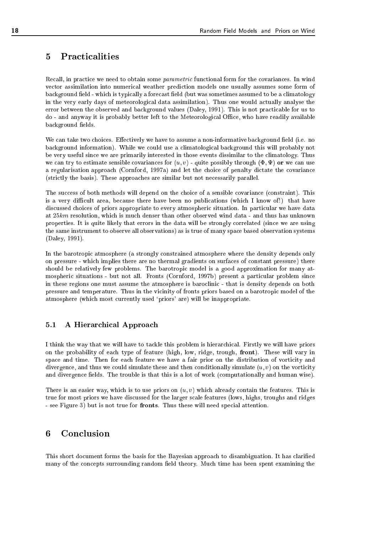### **Practicalities**  $\overline{5}$

Recall, in practice we need to obtain some *parametric* functional form for the covariances. In wind vector assimilation into numerical weather prediction models one usually assumes some form of background field - which is typically a forecast field (but was sometimes assumed to be a climatology in the very early days of meteorological data assimilation). Thus one would actually analyse the error between the observed and background values (Daley, 1991). This is not practicable for us to do - and anyway it is probably better left to the Meteorological Office, who have readily available background fields.

We can take two choices. Effectively we have to assume a non-informative background field (i.e. no background information). While we could use a climatological background this will probably not be very useful since we are primarily interested in those events dissimilar to the climatology. Thus we can try to estimate sensible covariances for  $(u, v)$  - quite possibly through  $(\Phi, \Psi)$  or we can use a regularisation approach (Cornford, 1997a) and let the choice of penalty dictate the covariance (strictly the basis). These approaches are similar but not necessarily parallel.

The success of both methods will depend on the choice of a sensible covariance (constraint). This is a very difficult area, because there have been no publications (which I know of!) that have discussed choices of priors appropriate to every atmospheric situation. In particular we have data at 25km resolution, which is much denser than other observed wind data - and thus has unknown properties. It is quite likely that errors in the data will be strongly correlated (since we are using the same instrument to observe all observations) as is true of many space based observation systems (Daley, 1991).

In the barotropic atmosphere (a strongly constrained atmosphere where the density depends only on pressure - which implies there are no thermal gradients on surfaces of constant pressure) there should be relatively few problems. The barotropic model is a good approximation for many atmospheric situations - but not all. Fronts (Cornford, 1997b) present a particular problem since in these regions one must assume the atmosphere is baroclinic - that is density depends on both pressure and temperature. Thus in the vicinity of fronts priors based on a barotropic model of the atmosphere (which most currently used 'priors' are) will be inappropriate.

#### $5.1$ 5.1 A Hierarchical Approach

I think the way that we will have to tackle this problem is hierarchical. Firstly we will have priors on the probability of each type of feature (high, low, ridge, trough, front). These will vary in space and time. Then for each feature we have a fair prior on the distribution of vorticity and divergence, and thus we could simulate these and then conditionally simulate  $(u, v)$  on the vorticity and divergence fields. The trouble is that this is a lot of work (computationally and human wise).

There is an easier way, which is to use priors on  $(u, v)$  which already contain the features. This is true for most priors we have discussed for the larger scale features (lows, highs, troughs and ridges - see Figure 3) but is not true for fronts. Thus these will need special attention.

#### Conclusion 6

This short document forms the basis for the Bayesian approach to disambiguation. It has claried many of the concepts surrounding random field theory. Much time has been spent examining the